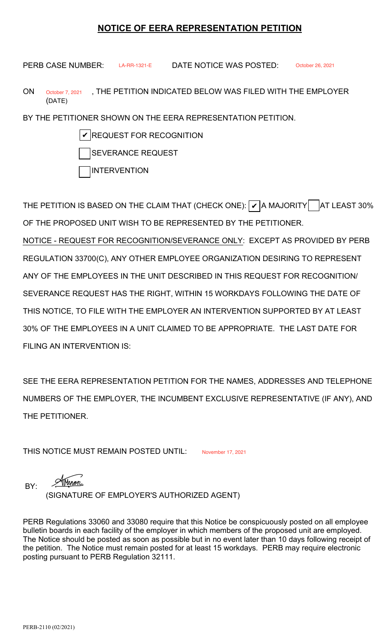## **NOTICE OF EERA REPRESENTATION PETITION**

**PERB CASE NUMBER:** LA-RR-1321-E DATE NOTICE WAS POSTED:

PERB CASE NUMBER: EA-RR-1321-E DATE NOTICE WAS POSTED: October 26, 2021<br>ON October 7, 2021 DTHE PETITION INDICATED BELOW WAS FILED WITH THE EMPLOYER (DATE)

BY THE PETITIONER SHOWN ON THE EERA REPRESENTATION PETITION.

 $\boldsymbol{\mathscr{V}}$  REQUEST FOR RECOGNITION

SEVERANCE REQUEST

INTERVENTION

THE PETITION IS BASED ON THE CLAIM THAT (CHECK ONE):  $|\boldsymbol{\nu}|$ A MAJORITY $|$   $\,$   $\,$  |AT LEAST 30% OF THE PROPOSED UNIT WISH TO BE REPRESENTED BY THE PETITIONER.

NOTICE - REQUEST FOR RECOGNITION/SEVERANCE ONLY: EXCEPT AS PROVIDED BY PERB REGULATION 33700(C), ANY OTHER EMPLOYEE ORGANIZATION DESIRING TO REPRESENT ANY OF THE EMPLOYEES IN THE UNIT DESCRIBED IN THIS REQUEST FOR RECOGNITION/ SEVERANCE REQUEST HAS THE RIGHT, WITHIN 15 WORKDAYS FOLLOWING THE DATE OF THIS NOTICE, TO FILE WITH THE EMPLOYER AN INTERVENTION SUPPORTED BY AT LEAST 30% OF THE EMPLOYEES IN A UNIT CLAIMED TO BE APPROPRIATE. THE LAST DATE FOR FILING AN INTERVENTION IS:

 SEE THE EERA REPRESENTATION PETITION FOR THE NAMES, ADDRESSES AND TELEPHONE NUMBERS OF THE EMPLOYER, THE INCUMBENT EXCLUSIVE REPRESENTATIVE (IF ANY), AND THE PETITIONER.

THIS NOTICE MUST REMAIN POSTED UNTIL: November 17, 2021

Yenon BY: (SIGNATURE OF EMPLOYER'S AUTHORIZED AGENT)

 PERB Regulations 33060 and 33080 require that this Notice be conspicuously posted on all employee bulletin boards in each facility of the employer in which members of the proposed unit are employed. The Notice should be posted as soon as possible but in no event later than 10 days following receipt of the petition. The Notice must remain posted for at least 15 workdays. PERB may require electronic posting pursuant to PERB Regulation 32111.